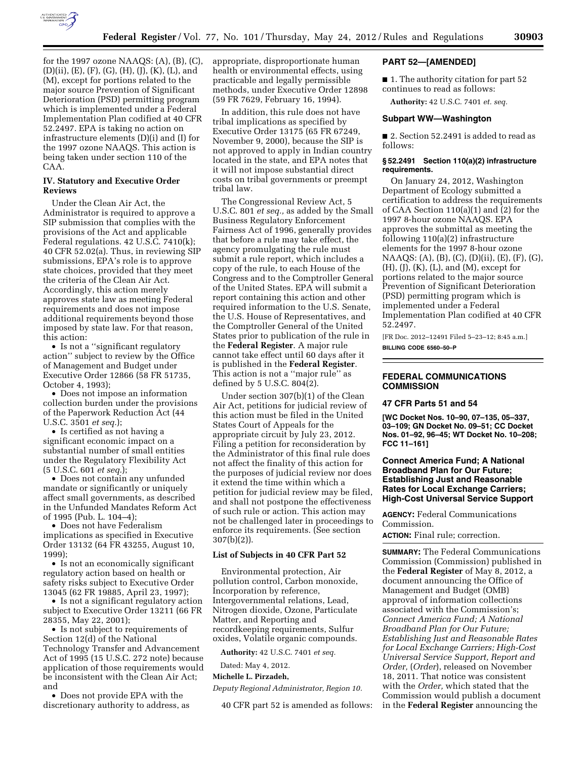

for the 1997 ozone NAAQS: (A), (B), (C), (D)(ii), (E), (F), (G), (H), (J), (K), (L), and (M), except for portions related to the major source Prevention of Significant Deterioration (PSD) permitting program which is implemented under a Federal Implementation Plan codified at 40 CFR 52.2497. EPA is taking no action on infrastructure elements (D)(i) and (I) for the 1997 ozone NAAQS. This action is being taken under section 110 of the CAA.

## **IV. Statutory and Executive Order Reviews**

Under the Clean Air Act, the Administrator is required to approve a SIP submission that complies with the provisions of the Act and applicable Federal regulations. 42 U.S.C. 7410(k); 40 CFR 52.02(a). Thus, in reviewing SIP submissions, EPA's role is to approve state choices, provided that they meet the criteria of the Clean Air Act. Accordingly, this action merely approves state law as meeting Federal requirements and does not impose additional requirements beyond those imposed by state law. For that reason, this action:

• Is not a ''significant regulatory action'' subject to review by the Office of Management and Budget under Executive Order 12866 (58 FR 51735, October 4, 1993);

• Does not impose an information collection burden under the provisions of the Paperwork Reduction Act (44 U.S.C. 3501 *et seq.*);

• Is certified as not having a significant economic impact on a substantial number of small entities under the Regulatory Flexibility Act (5 U.S.C. 601 *et seq.*);

• Does not contain any unfunded mandate or significantly or uniquely affect small governments, as described in the Unfunded Mandates Reform Act of 1995 (Pub. L. 104–4);

• Does not have Federalism implications as specified in Executive Order 13132 (64 FR 43255, August 10, 1999);

• Is not an economically significant regulatory action based on health or safety risks subject to Executive Order 13045 (62 FR 19885, April 23, 1997);

• Is not a significant regulatory action subject to Executive Order 13211 (66 FR 28355, May 22, 2001);

• Is not subject to requirements of Section 12(d) of the National Technology Transfer and Advancement Act of 1995 (15 U.S.C. 272 note) because application of those requirements would be inconsistent with the Clean Air Act; and

• Does not provide EPA with the discretionary authority to address, as appropriate, disproportionate human health or environmental effects, using practicable and legally permissible methods, under Executive Order 12898 (59 FR 7629, February 16, 1994).

In addition, this rule does not have tribal implications as specified by Executive Order 13175 (65 FR 67249, November 9, 2000), because the SIP is not approved to apply in Indian country located in the state, and EPA notes that it will not impose substantial direct costs on tribal governments or preempt tribal law.

The Congressional Review Act, 5 U.S.C. 801 *et seq.,* as added by the Small Business Regulatory Enforcement Fairness Act of 1996, generally provides that before a rule may take effect, the agency promulgating the rule must submit a rule report, which includes a copy of the rule, to each House of the Congress and to the Comptroller General of the United States. EPA will submit a report containing this action and other required information to the U.S. Senate, the U.S. House of Representatives, and the Comptroller General of the United States prior to publication of the rule in the **Federal Register**. A major rule cannot take effect until 60 days after it is published in the **Federal Register**. This action is not a ''major rule'' as defined by 5 U.S.C. 804(2).

Under section 307(b)(1) of the Clean Air Act, petitions for judicial review of this action must be filed in the United States Court of Appeals for the appropriate circuit by July 23, 2012. Filing a petition for reconsideration by the Administrator of this final rule does not affect the finality of this action for the purposes of judicial review nor does it extend the time within which a petition for judicial review may be filed, and shall not postpone the effectiveness of such rule or action. This action may not be challenged later in proceedings to enforce its requirements. (See section 307(b)(2)).

## **List of Subjects in 40 CFR Part 52**

Environmental protection, Air pollution control, Carbon monoxide, Incorporation by reference, Intergovernmental relations, Lead, Nitrogen dioxide, Ozone, Particulate Matter, and Reporting and recordkeeping requirements, Sulfur oxides, Volatile organic compounds.

**Authority:** 42 U.S.C. 7401 *et seq.* 

Dated: May 4, 2012. **Michelle L. Pirzadeh,** 

*Deputy Regional Administrator, Region 10.* 

40 CFR part 52 is amended as follows:

## **PART 52—[AMENDED]**

■ 1. The authority citation for part 52 continues to read as follows:

**Authority:** 42 U.S.C. 7401 *et. seq.* 

# **Subpart WW—Washington**

■ 2. Section 52.2491 is added to read as follows:

#### **§ 52.2491 Section 110(a)(2) infrastructure requirements.**

On January 24, 2012, Washington Department of Ecology submitted a certification to address the requirements of CAA Section 110(a)(1) and (2) for the 1997 8-hour ozone NAAQS. EPA approves the submittal as meeting the following 110(a)(2) infrastructure elements for the 1997 8-hour ozone NAAQS: (A), (B), (C), (D)(ii), (E), (F), (G),  $(H), (J), (K), (L), and (M), except for$ portions related to the major source Prevention of Significant Deterioration (PSD) permitting program which is implemented under a Federal Implementation Plan codified at 40 CFR 52.2497.

[FR Doc. 2012–12491 Filed 5–23–12; 8:45 a.m.] **BILLING CODE 6560–50–P** 

## **FEDERAL COMMUNICATIONS COMMISSION**

#### **47 CFR Parts 51 and 54**

**[WC Docket Nos. 10–90, 07–135, 05–337, 03–109; GN Docket No. 09–51; CC Docket Nos. 01–92, 96–45; WT Docket No. 10–208; FCC 11–161]** 

# **Connect America Fund; A National Broadband Plan for Our Future; Establishing Just and Reasonable Rates for Local Exchange Carriers; High-Cost Universal Service Support**

**AGENCY:** Federal Communications Commission.

**ACTION:** Final rule; correction.

**SUMMARY:** The Federal Communications Commission (Commission) published in the **Federal Register** of May 8, 2012, a document announcing the Office of Management and Budget (OMB) approval of information collections associated with the Commission's; *Connect America Fund; A National Broadband Plan for Our Future; Establishing Just and Reasonable Rates for Local Exchange Carriers; High-Cost Universal Service Support, Report and Order,* (*Order*), released on November 18, 2011. That notice was consistent with the *Order,* which stated that the Commission would publish a document in the **Federal Register** announcing the